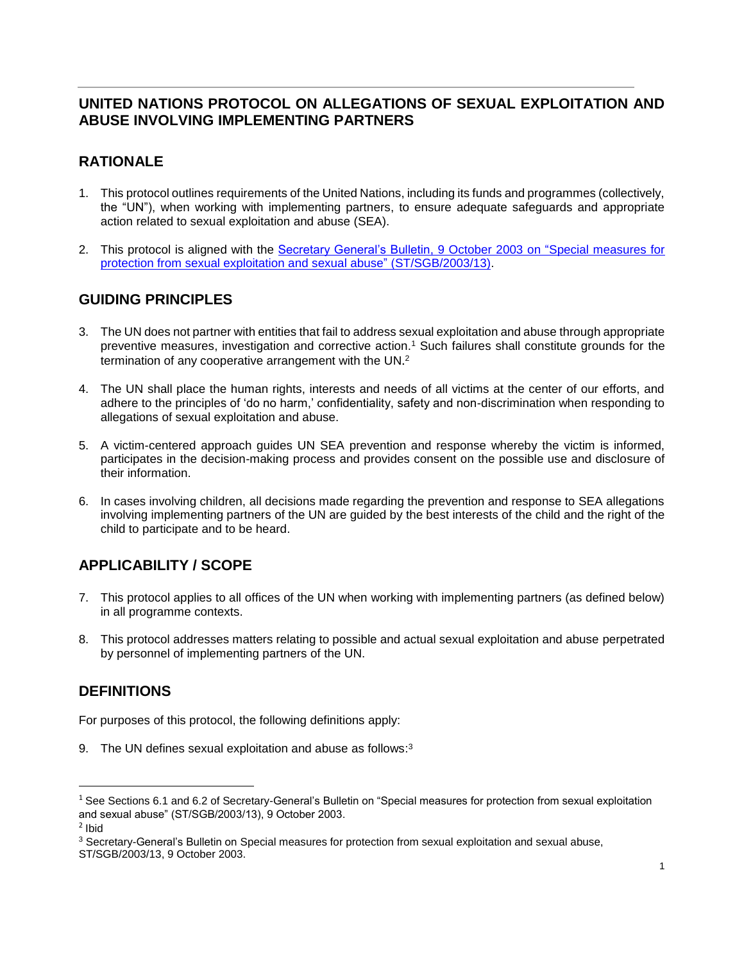### **UNITED NATIONS PROTOCOL ON ALLEGATIONS OF SEXUAL EXPLOITATION AND ABUSE INVOLVING IMPLEMENTING PARTNERS**

# **RATIONALE**

- 1. This protocol outlines requirements of the United Nations, including its funds and programmes (collectively, the "UN"), when working with implementing partners, to ensure adequate safeguards and appropriate action related to sexual exploitation and abuse (SEA).
- 2. This protocol is aligned with the [Secretary General's Bulletin, 9 October 2003](http://www.un.org/Docs/journal/asp/ws.asp?m=ST/SGB/2003/13) on "Special measures for [protection from sexual exploitation and sexual abuse"](http://www.un.org/Docs/journal/asp/ws.asp?m=ST/SGB/2003/13) (ST/SGB/2003/13).

## **GUIDING PRINCIPLES**

- 3. The UN does not partner with entities that fail to address sexual exploitation and abuse through appropriate preventive measures, investigation and corrective action. <sup>1</sup> Such failures shall constitute grounds for the termination of any cooperative arrangement with the UN.<sup>2</sup>
- 4. The UN shall place the human rights, interests and needs of all victims at the center of our efforts, and adhere to the principles of 'do no harm,' confidentiality, safety and non-discrimination when responding to allegations of sexual exploitation and abuse.
- 5. A victim-centered approach guides UN SEA prevention and response whereby the victim is informed, participates in the decision-making process and provides consent on the possible use and disclosure of their information.
- 6. In cases involving children, all decisions made regarding the prevention and response to SEA allegations involving implementing partners of the UN are guided by the best interests of the child and the right of the child to participate and to be heard.

## **APPLICABILITY / SCOPE**

- 7. This protocol applies to all offices of the UN when working with implementing partners (as defined below) in all programme contexts.
- 8. This protocol addresses matters relating to possible and actual sexual exploitation and abuse perpetrated by personnel of implementing partners of the UN.

## **DEFINITIONS**

For purposes of this protocol, the following definitions apply:

9. The UN defines sexual exploitation and abuse as follows: $3$ 

 $\overline{a}$ 

<sup>3</sup> Secretary-General's Bulletin on Special measures for protection from sexual exploitation and sexual abuse, ST/SGB/2003/13, 9 October 2003.

 $1$  See Sections 6.1 and 6.2 of Secretary-General's Bulletin on "Special measures for protection from sexual exploitation and sexual abuse" (ST/SGB/2003/13), 9 October 2003.

<sup>2</sup> Ibid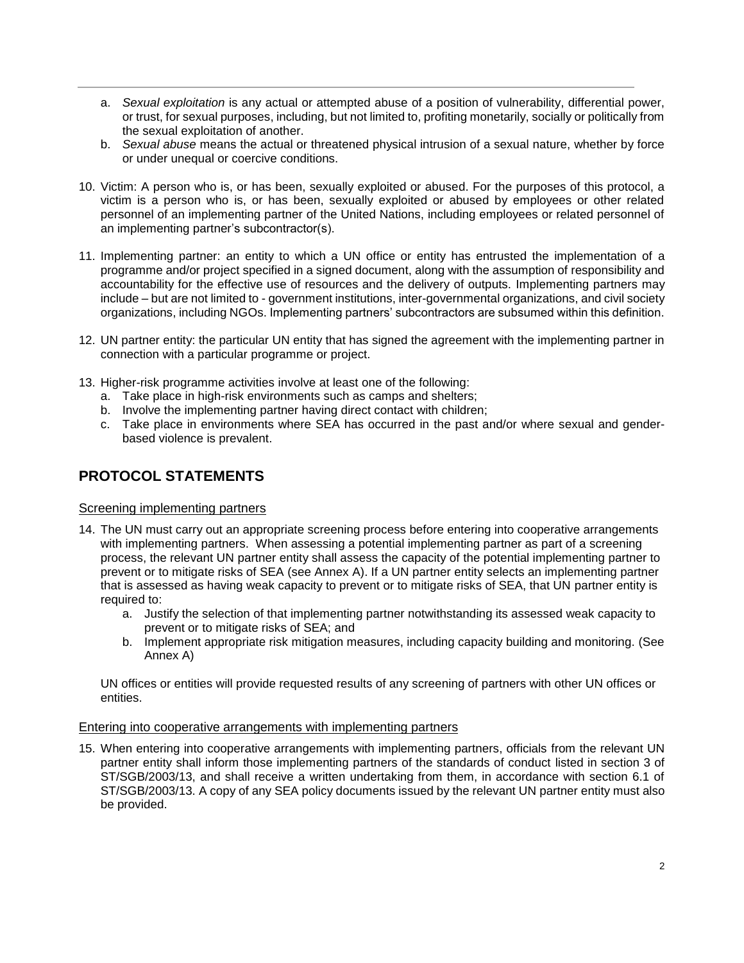- a. *Sexual exploitation* is any actual or attempted abuse of a position of vulnerability, differential power, or trust, for sexual purposes, including, but not limited to, profiting monetarily, socially or politically from the sexual exploitation of another.
- b. *Sexual abuse* means the actual or threatened physical intrusion of a sexual nature, whether by force or under unequal or coercive conditions.
- 10. Victim: A person who is, or has been, sexually exploited or abused. For the purposes of this protocol, a victim is a person who is, or has been, sexually exploited or abused by employees or other related personnel of an implementing partner of the United Nations, including employees or related personnel of an implementing partner's subcontractor(s).
- 11. Implementing partner: an entity to which a UN office or entity has entrusted the implementation of a programme and/or project specified in a signed document, along with the assumption of responsibility and accountability for the effective use of resources and the delivery of outputs. Implementing partners may include – but are not limited to - government institutions, inter-governmental organizations, and civil society organizations, including NGOs. Implementing partners' subcontractors are subsumed within this definition.
- 12. UN partner entity: the particular UN entity that has signed the agreement with the implementing partner in connection with a particular programme or project.
- 13. Higher-risk programme activities involve at least one of the following:
	- a. Take place in high-risk environments such as camps and shelters;
	- b. Involve the implementing partner having direct contact with children;
	- c. Take place in environments where SEA has occurred in the past and/or where sexual and genderbased violence is prevalent.

### **PROTOCOL STATEMENTS**

#### Screening implementing partners

- 14. The UN must carry out an appropriate screening process before entering into cooperative arrangements with implementing partners. When assessing a potential implementing partner as part of a screening process, the relevant UN partner entity shall assess the capacity of the potential implementing partner to prevent or to mitigate risks of SEA (see Annex A). If a UN partner entity selects an implementing partner that is assessed as having weak capacity to prevent or to mitigate risks of SEA, that UN partner entity is required to:
	- a. Justify the selection of that implementing partner notwithstanding its assessed weak capacity to prevent or to mitigate risks of SEA; and
	- b. Implement appropriate risk mitigation measures, including capacity building and monitoring. (See Annex A)

UN offices or entities will provide requested results of any screening of partners with other UN offices or entities.

#### Entering into cooperative arrangements with implementing partners

15. When entering into cooperative arrangements with implementing partners, officials from the relevant UN partner entity shall inform those implementing partners of the standards of conduct listed in section 3 of ST/SGB/2003/13, and shall receive a written undertaking from them, in accordance with section 6.1 of ST/SGB/2003/13. A copy of any SEA policy documents issued by the relevant UN partner entity must also be provided.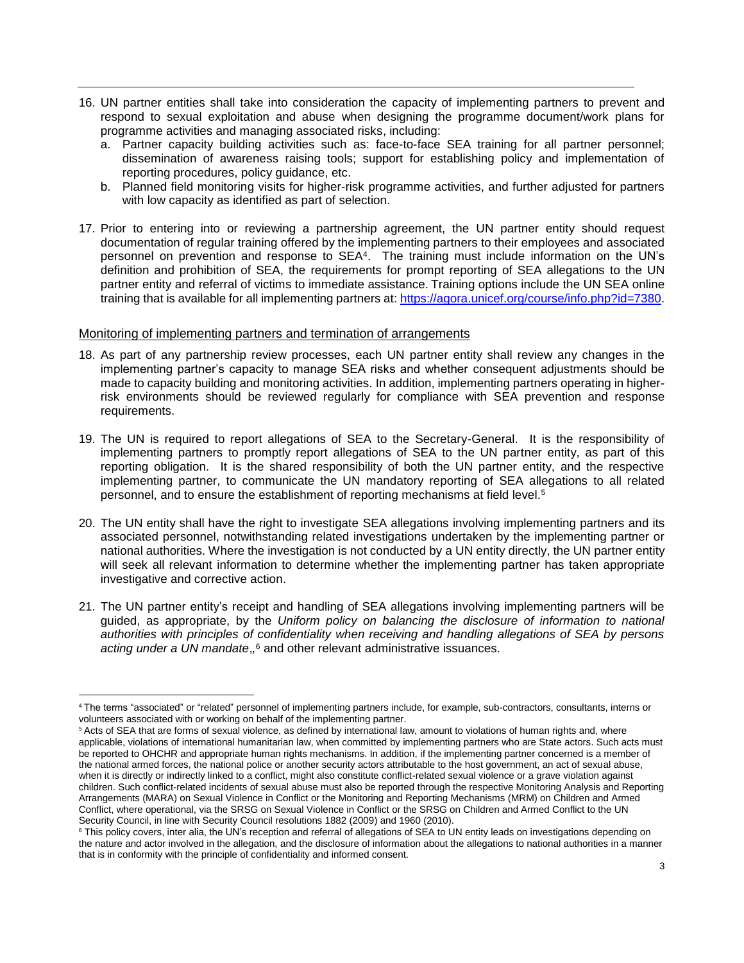- 16. UN partner entities shall take into consideration the capacity of implementing partners to prevent and respond to sexual exploitation and abuse when designing the programme document/work plans for programme activities and managing associated risks, including:
	- a. Partner capacity building activities such as: face-to-face SEA training for all partner personnel; dissemination of awareness raising tools; support for establishing policy and implementation of reporting procedures, policy guidance, etc.
	- b. Planned field monitoring visits for higher-risk programme activities, and further adjusted for partners with low capacity as identified as part of selection.
- 17. Prior to entering into or reviewing a partnership agreement, the UN partner entity should request documentation of regular training offered by the implementing partners to their employees and associated personnel on prevention and response to SEA<sup>4</sup> . The training must include information on the UN's definition and prohibition of SEA, the requirements for prompt reporting of SEA allegations to the UN partner entity and referral of victims to immediate assistance. Training options include the UN SEA online training that is available for all implementing partners at: [https://agora.unicef.org/course/info.php?id=7380.](https://agora.unicef.org/course/info.php?id=7380)

#### Monitoring of implementing partners and termination of arrangements

 $\overline{a}$ 

- 18. As part of any partnership review processes, each UN partner entity shall review any changes in the implementing partner's capacity to manage SEA risks and whether consequent adjustments should be made to capacity building and monitoring activities. In addition, implementing partners operating in higherrisk environments should be reviewed regularly for compliance with SEA prevention and response requirements.
- 19. The UN is required to report allegations of SEA to the Secretary-General. It is the responsibility of implementing partners to promptly report allegations of SEA to the UN partner entity, as part of this reporting obligation. It is the shared responsibility of both the UN partner entity, and the respective implementing partner, to communicate the UN mandatory reporting of SEA allegations to all related personnel, and to ensure the establishment of reporting mechanisms at field level.<sup>5</sup>
- 20. The UN entity shall have the right to investigate SEA allegations involving implementing partners and its associated personnel, notwithstanding related investigations undertaken by the implementing partner or national authorities. Where the investigation is not conducted by a UN entity directly, the UN partner entity will seek all relevant information to determine whether the implementing partner has taken appropriate investigative and corrective action.
- 21. The UN partner entity's receipt and handling of SEA allegations involving implementing partners will be guided, as appropriate, by the *Uniform policy on balancing the disclosure of information to national authorities with principles of confidentiality when receiving and handling allegations of SEA by persons*  acting under a UN mandate,<sup>6</sup> and other relevant administrative issuances.

<sup>4</sup> The terms "associated" or "related" personnel of implementing partners include, for example, sub-contractors, consultants, interns or volunteers associated with or working on behalf of the implementing partner.

<sup>&</sup>lt;sup>5</sup> Acts of SEA that are forms of sexual violence, as defined by international law, amount to violations of human rights and, where applicable, violations of international humanitarian law, when committed by implementing partners who are State actors. Such acts must be reported to OHCHR and appropriate human rights mechanisms. In addition, if the implementing partner concerned is a member of the national armed forces, the national police or another security actors attributable to the host government, an act of sexual abuse, when it is directly or indirectly linked to a conflict, might also constitute conflict-related sexual violence or a grave violation against children. Such conflict-related incidents of sexual abuse must also be reported through the respective Monitoring Analysis and Reporting Arrangements (MARA) on Sexual Violence in Conflict or the Monitoring and Reporting Mechanisms (MRM) on Children and Armed Conflict, where operational, via the SRSG on Sexual Violence in Conflict or the SRSG on Children and Armed Conflict to the UN Security Council, in line with Security Council resolutions 1882 (2009) and 1960 (2010).

<sup>&</sup>lt;sup>6</sup> This policy covers, inter alia, the UN's reception and referral of allegations of SEA to UN entity leads on investigations depending on the nature and actor involved in the allegation, and the disclosure of information about the allegations to national authorities in a manner that is in conformity with the principle of confidentiality and informed consent.